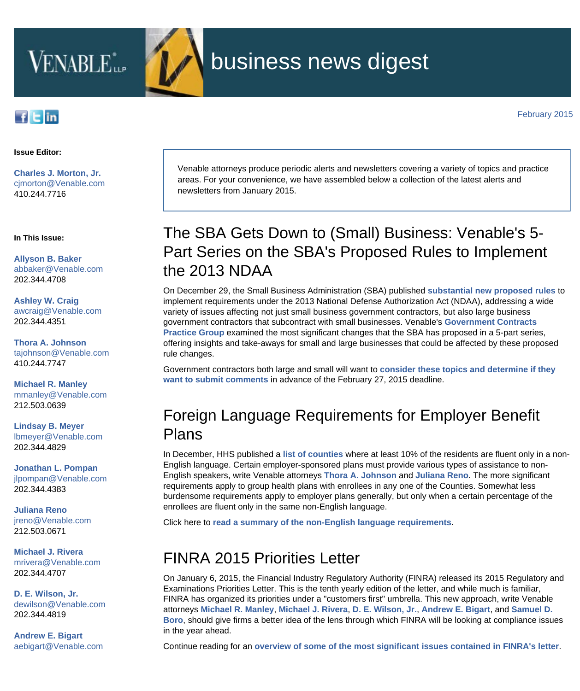

# business news digest

[February 2015](http://www.venable.com/EmailMarketing/ForwardingHandler.aspx?nid=aa406514-0e9b-4619-a382-b1c0f51628ad&clid=0c61608f-c669-4713-a62b-05aac4012abe&cid=e2368548-5e19-4ff1-8b33-ffffbca72c36&ce=dtVsbBOSBQ71Mj1%2bYAssYoxJnJhnGDek)

#### fEin

#### **Issue Editor:**

**[Charles J. Morton, Jr.](http://www.venable.com/charles-j-morton)** [cjmorton@Venable.com](mailto:cjmorton@Venable.com) 410.244.7716

**In This Issue:**

**[Allyson B. Baker](http://www.venable.com/Allyson-B-Baker)** [abbaker@Venable.com](mailto:abbaker@Venable.com) 202.344.4708

**[Ashley W. Craig](http://www.venable.com/Ashley-W-Craig)** [awcraig@Venable.com](mailto:awcraig@Venable.com) 202.344.4351

**[Thora A. Johnson](http://www.venable.com/Thora-A-Johnson)** [tajohnson@Venable.com](mailto:tajohnson@Venable.com) 410.244.7747

**[Michael R. Manley](http://www.venable.com/Michael-R-Manley)** [mmanley@Venable.com](mailto:mmanley@Venable.com) 212.503.0639

**[Lindsay B. Meyer](http://www.venable.com/Lindsay-B-Meyer)** [lbmeyer@Venable.com](mailto:lbmeyer@Venable.com) 202.344.4829

**[Jonathan L. Pompan](http://www.venable.com/jonathan-l-pompan)** [jlpompan@Venable.com](mailto:jlpompan@Venable.com) 202.344.4383

**[Juliana Reno](http://www.venable.com/Juliana-Reno)** ireno@Venable.com 212.503.0671

**[Michael J. Rivera](http://www.venable.com/Michael-J-Rivera)** [mrivera@Venable.com](mailto:mrivera@Venable.com) 202.344.4707

**[D. E. Wilson, Jr.](http://www.venable.com/D-E-Wilson)** [dewilson@Venable.com](mailto:dewilson@Venable.com) 202.344.4819

**[Andrew E. Bigart](http://www.venable.com/Andrew-E-Bigart)** [aebigart@Venable.com](mailto:aebigart@Venable.com) Venable attorneys produce periodic alerts and newsletters covering a variety of topics and practice areas. For your convenience, we have assembled below a collection of the latest alerts and newsletters from January 2015.

## The SBA Gets Down to (Small) Business: Venable's 5- Part Series on the SBA's Proposed Rules to Implement the 2013 NDAA

On December 29, the Small Business Administration (SBA) published **[substantial new proposed rules](http://www.gpo.gov/fdsys/pkg/FR-2014-12-29/pdf/2014-29753.pdf)** to implement requirements under the 2013 National Defense Authorization Act (NDAA), addressing a wide variety of issues affecting not just small business government contractors, but also large business government contractors that subcontract with small businesses. Venable's **[Government Contracts](http://www.venable.com/Government-Contracts?utm_source=hubbard&utm_medium=email&utm_campaign=BND-2015-February) [Practice Group](http://www.venable.com/Government-Contracts?utm_source=hubbard&utm_medium=email&utm_campaign=BND-2015-February)** examined the most significant changes that the SBA has proposed in a 5-part series, offering insights and take-aways for small and large businesses that could be affected by these proposed rule changes.

Government contractors both large and small will want to **[consider these topics and determine if they](http://www.venable.com/the-sba-gets-down-to-small-business--venables-5-part-series/?utm_source=hubbard&utm_medium=email&utm_campaign=BND-2015-February) [want to submit comments](http://www.venable.com/the-sba-gets-down-to-small-business--venables-5-part-series/?utm_source=hubbard&utm_medium=email&utm_campaign=BND-2015-February)** in advance of the February 27, 2015 deadline.

### Foreign Language Requirements for Employer Benefit Plans

In December, HHS published a **[list of counties](http://www.venable.com/files/Publication/6a13ca56-7c31-437a-b382-c341f89521fb/Presentation/PublicationAttachment/63d401bb-7279-4ba7-a2e0-c9bb76b17b72/Counties-with-10-percent-or-more-non-English-speakers.pdf)** where at least 10% of the residents are fluent only in a non-English language. Certain employer-sponsored plans must provide various types of assistance to non-English speakers, write Venable attorneys **[Thora A. Johnson](http://www.venable.com/Thora-A-Johnson?utm_source=hubbard&utm_medium=email&utm_campaign=BND-2015-February)** and **[Juliana Reno](http://www.venable.com/Juliana-Reno?utm_source=hubbard&utm_medium=email&utm_campaign=BND-2015-February)**. The more significant requirements apply to group health plans with enrollees in any one of the Counties. Somewhat less burdensome requirements apply to employer plans generally, but only when a certain percentage of the enrollees are fluent only in the same non-English language.

Click here to **[read a summary of the non-English language requirements](http://www.venable.com/foreign-language-requirements-for-employer-benefit-plans/?utm_source=hubbard&utm_medium=email&utm_campaign=BND-2015-February)**.

#### FINRA 2015 Priorities Letter

On January 6, 2015, the Financial Industry Regulatory Authority (FINRA) released its 2015 Regulatory and Examinations Priorities Letter. This is the tenth yearly edition of the letter, and while much is familiar, FINRA has organized its priorities under a "customers first" umbrella. This new approach, write Venable attorneys **[Michael R. Manley](http://www.venable.com/Michael-R-Manley?utm_source=hubbard&utm_medium=email&utm_campaign=BND-2015-February)**, **[Michael J. Rivera](http://www.venable.com/Michael-J-Rivera?utm_source=hubbard&utm_medium=email&utm_campaign=BND-2015-February)**, **[D. E. Wilson, Jr.](http://www.venable.com/D-E-Wilson?utm_source=hubbard&utm_medium=email&utm_campaign=BND-2015-February)**, **[Andrew E. Bigart](http://www.venable.com/Andrew-E-Bigart?utm_source=hubbard&utm_medium=email&utm_campaign=BND-2015-February)**, and **[Samuel D.](http://www.venable.com/Samuel-D-Boro?utm_source=hubbard&utm_medium=email&utm_campaign=BND-2015-February) [Boro](http://www.venable.com/Samuel-D-Boro?utm_source=hubbard&utm_medium=email&utm_campaign=BND-2015-February)**, should give firms a better idea of the lens through which FINRA will be looking at compliance issues in the year ahead.

Continue reading for an **[overview of some of the most significant issues contained in FINRA's letter](http://www.venable.com/finra-2015-priorities-letter/?utm_source=hubbard&utm_medium=email&utm_campaign=BND-2015-February)**.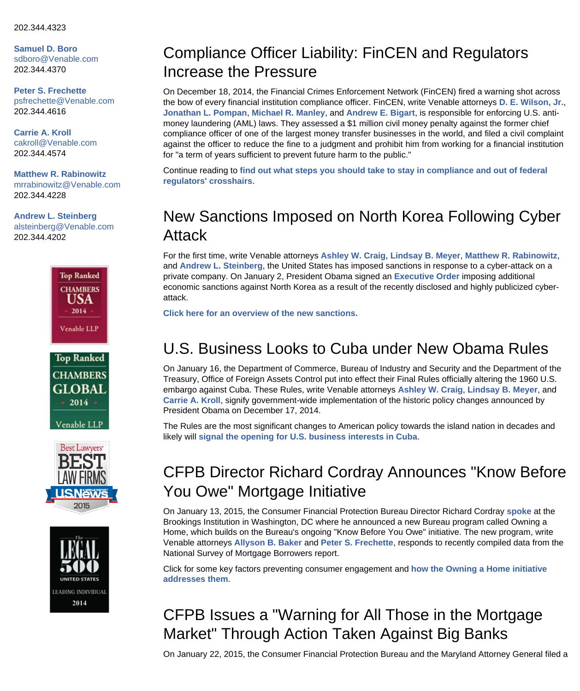**[Samuel D. Boro](http://www.venable.com/Samuel-D-Boro)** [sdboro@Venable.com](mailto:sdboro@Venable.com) 202.344.4370

**[Peter S. Frechette](http://www.venable.com/Peter-S-Frechette)** [psfrechette@Venable.com](mailto:psfrechette@Venable.com) 202.344.4616

**[Carrie A. Kroll](http://www.venable.com/Carrie-A-Kroll)** [cakroll@Venable.com](mailto:cakroll@Venable.com)  202.344.4574

**[Matthew R. Rabinowitz](http://www.venable.com/Matthew-R-Rabinowitz)** [mrrabinowitz@Venable.com](mailto:mrrabinowitz@Venable.com) 202.344.4228

**[Andrew L. Steinberg](http://www.venable.com/Andrew-L-Steinberg)** [alsteinberg@Venable.com](mailto:alsteinberg@Venable.com) 202.344.4202









#### Compliance Officer Liability: FinCEN and Regulators Increase the Pressure

On December 18, 2014, the Financial Crimes Enforcement Network (FinCEN) fired a warning shot across the bow of every financial institution compliance officer. FinCEN, write Venable attorneys **[D. E. Wilson, Jr.](http://www.venable.com/D-E-Wilson?utm_source=hubbard&utm_medium=email&utm_campaign=BND-2015-February)**, **[Jonathan L. Pompan](http://www.venable.com/jonathan-l-pompan?utm_source=hubbard&utm_medium=email&utm_campaign=BND-2015-February)**, **[Michael R. Manley](http://www.venable.com/Michael-R-Manley?utm_source=hubbard&utm_medium=email&utm_campaign=BND-2015-February)**, and **[Andrew E. Bigart](http://www.venable.com/Andrew-E-Bigart?utm_source=hubbard&utm_medium=email&utm_campaign=BND-2015-February)**, is responsible for enforcing U.S. antimoney laundering (AML) laws. They assessed a \$1 million civil money penalty against the former chief compliance officer of one of the largest money transfer businesses in the world, and filed a civil complaint against the officer to reduce the fine to a judgment and prohibit him from working for a financial institution for "a term of years sufficient to prevent future harm to the public."

Continue reading to **[find out what steps you should take to stay in compliance and out of federal](http://www.venable.com/compliance-officer-liability-fincen-and-regulators-increase-the-pressure/?utm_source=hubbard&utm_medium=email&utm_campaign=BND-2015-February) [regulators' crosshairs](http://www.venable.com/compliance-officer-liability-fincen-and-regulators-increase-the-pressure/?utm_source=hubbard&utm_medium=email&utm_campaign=BND-2015-February)**.

### New Sanctions Imposed on North Korea Following Cyber Attack

For the first time, write Venable attorneys **[Ashley W. Craig](http://www.venable.com/Ashley-W-Craig?utm_source=hubbard&utm_medium=email&utm_campaign=BND-2015-February)**, **[Lindsay B. Meyer](http://www.venable.com/Lindsay-B-Meyer?utm_source=hubbard&utm_medium=email&utm_campaign=BND-2015-February)**, **[Matthew R. Rabinowitz](http://www.venable.com/Matthew-R-Rabinowitz?utm_source=hubbard&utm_medium=email&utm_campaign=BND-2015-February)**, and **[Andrew L. Steinberg](http://www.venable.com/Andrew-L-Steinberg?utm_source=hubbard&utm_medium=email&utm_campaign=BND-2015-February)**, the United States has imposed sanctions in response to a cyber-attack on a private company. On January 2, President Obama signed an **[Executive Order](https://www.federalregister.gov/articles/2015/01/06/2015-00058/imposing-additional-sanctions-with-respect-to-north-korea)** imposing additional economic sanctions against North Korea as a result of the recently disclosed and highly publicized cyberattack.

**[Click here for an overview of the new sanctions.](http://www.venable.com/new-sanctions-imposed-on-north-korea-following-cyber-attack/?utm_source=hubbard&utm_medium=email&utm_campaign=BND-2015-February)**

#### U.S. Business Looks to Cuba under New Obama Rules

On January 16, the Department of Commerce, Bureau of Industry and Security and the Department of the Treasury, Office of Foreign Assets Control put into effect their Final Rules officially altering the 1960 U.S. embargo against Cuba. These Rules, write Venable attorneys **[Ashley W. Craig](http://www.venable.com/Ashley-W-Craig?utm_source=hubbard&utm_medium=email&utm_campaign=BND-2015-February)**, **[Lindsay B. Meyer](http://www.venable.com/Lindsay-B-Meyer?utm_source=hubbard&utm_medium=email&utm_campaign=BND-2015-February)**, and **[Carrie A. Kroll](http://www.venable.com/Carrie-A-Kroll?utm_source=hubbard&utm_medium=email&utm_campaign=BND-2015-February)**, signify government-wide implementation of the historic policy changes announced by President Obama on December 17, 2014.

The Rules are the most significant changes to American policy towards the island nation in decades and likely will **[signal the opening for U.S. business interests in Cuba](http://www.venable.com/us-business-looks-to-cuba-under-new-obama-rules/?utm_source=hubbard&utm_medium=email&utm_campaign=BND-2015-February)**.

## CFPB Director Richard Cordray Announces "Know Before You Owe" Mortgage Initiative

On January 13, 2015, the Consumer Financial Protection Bureau Director Richard Cordray **[spoke](http://www.brookings.edu/events/2015/01/13-consumer-financial-protection-bureau-cordray)** at the Brookings Institution in Washington, DC where he announced a new Bureau program called Owning a Home, which builds on the Bureau's ongoing "Know Before You Owe" initiative. The new program, write Venable attorneys **[Allyson B. Baker](http://www.venable.com/Allyson-B-Baker?utm_source=hubbard&utm_medium=email&utm_campaign=BND-2015-February)** and **[Peter S. Frechette](http://www.venable.com/Peter-S-Frechette?utm_source=hubbard&utm_medium=email&utm_campaign=BND-2015-February)**, responds to recently compiled data from the National Survey of Mortgage Borrowers report.

Click for some key factors preventing consumer engagement and **[how the Owning a Home initiative](http://www.venable.com/cfpb-director-richard-cordray-announces-know-before-you-owe-mortgage-initiative-01-13-2015/?utm_source=hubbard&utm_medium=email&utm_campaign=BND-2015-February) [addresses them](http://www.venable.com/cfpb-director-richard-cordray-announces-know-before-you-owe-mortgage-initiative-01-13-2015/?utm_source=hubbard&utm_medium=email&utm_campaign=BND-2015-February)**.

# CFPB Issues a "Warning for All Those in the Mortgage Market" Through Action Taken Against Big Banks

On January 22, 2015, the Consumer Financial Protection Bureau and the Maryland Attorney General filed a